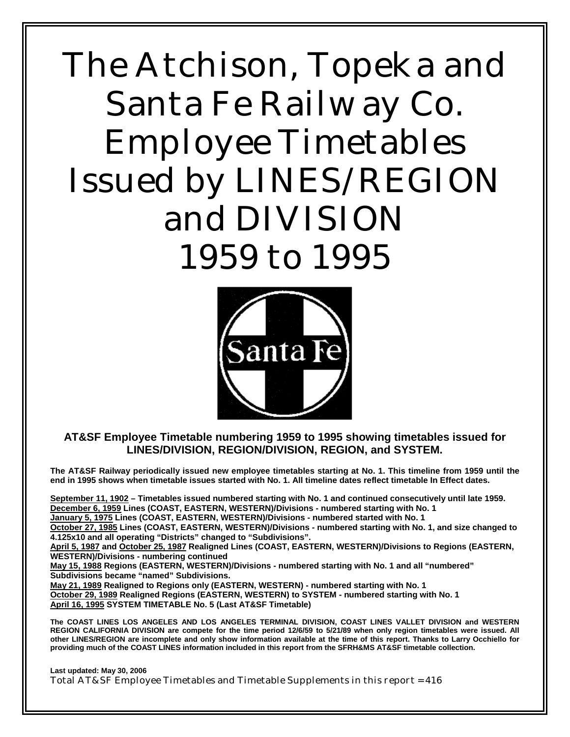# The Atchison, Topeka and Santa Fe Railway Co. Employee Timetables Issued by LINES/REGION and DIVISION 1959 to 1995



**AT&SF Employee Timetable numbering 1959 to 1995 showing timetables issued for LINES/DIVISION, REGION/DIVISION, REGION, and SYSTEM.** 

**The AT&SF Railway periodically issued new employee timetables starting at No. 1. This timeline from 1959 until the end in 1995 shows when timetable issues started with No. 1. All timeline dates reflect timetable In Effect dates.** 

**September 11, 1902 – Timetables issued numbered starting with No. 1 and continued consecutively until late 1959. December 6, 1959 Lines (COAST, EASTERN, WESTERN)/Divisions - numbered starting with No. 1 January 5, 1975 Lines (COAST, EASTERN, WESTERN)/Divisions - numbered started with No. 1** 

**October 27, 1985 Lines (COAST, EASTERN, WESTERN)/Divisions - numbered starting with No. 1, and size changed to 4.125x10 and all operating "Districts" changed to "Subdivisions".** 

**April 5, 1987 and October 25, 1987 Realigned Lines (COAST, EASTERN, WESTERN)/Divisions to Regions (EASTERN, WESTERN)/Divisions - numbering continued** 

**May 15, 1988 Regions (EASTERN, WESTERN)/Divisions - numbered starting with No. 1 and all "numbered" Subdivisions became "named" Subdivisions.** 

**May 21, 1989 Realigned to Regions only (EASTERN, WESTERN) - numbered starting with No. 1 October 29, 1989 Realigned Regions (EASTERN, WESTERN) to SYSTEM - numbered starting with No. 1 April 16, 1995 SYSTEM TIMETABLE No. 5 (Last AT&SF Timetable)** 

**The COAST LINES LOS ANGELES AND LOS ANGELES TERMINAL DIVISION, COAST LINES VALLET DIVISION and WESTERN REGION CALIFORNIA DIVISION are compete for the time period 12/6/59 to 5/21/89 when only region timetables were issued. All other LINES/REGION are incomplete and only show information available at the time of this report. Thanks to Larry Occhiello for providing much of the COAST LINES information included in this report from the SFRH&MS AT&SF timetable collection.** 

**Last updated: May 30, 2006**  Total AT&SF Employee Timetables and Timetable Supplements in this report = 416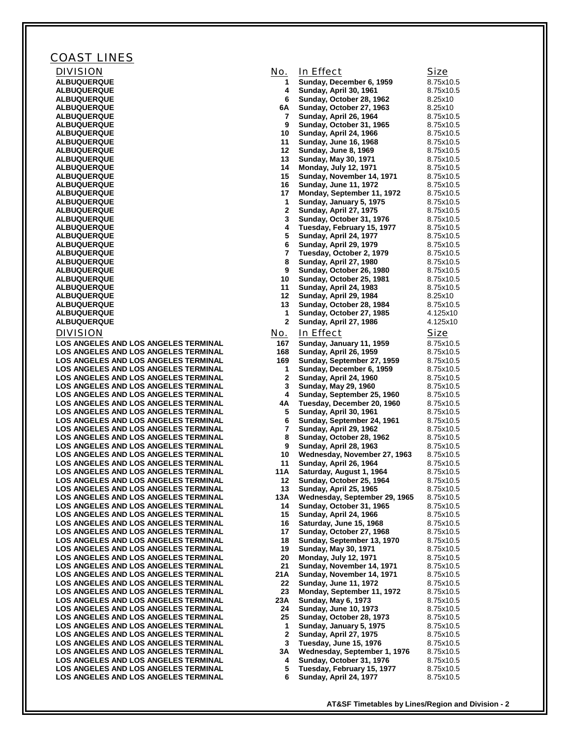| COAST LINES                                                                                |              |                                                            |                        |
|--------------------------------------------------------------------------------------------|--------------|------------------------------------------------------------|------------------------|
| <b>DIVISION</b>                                                                            | No.          | In Effect                                                  | Size                   |
| <b>ALBUQUERQUE</b>                                                                         | 1.           | Sunday, December 6, 1959                                   | 8.75x10.5              |
| <b>ALBUQUERQUE</b>                                                                         | 4            | Sunday, April 30, 1961                                     | 8.75x10.5              |
| <b>ALBUQUERQUE</b>                                                                         | 6            | Sunday, October 28, 1962                                   | 8.25x10                |
| <b>ALBUQUERQUE</b><br><b>ALBUQUERQUE</b>                                                   | 6A<br>7      | Sunday, October 27, 1963                                   | 8.25x10<br>8.75x10.5   |
| <b>ALBUQUERQUE</b>                                                                         | 9            | Sunday, April 26, 1964<br>Sunday, October 31, 1965         | 8.75x10.5              |
| <b>ALBUQUERQUE</b>                                                                         | 10           | Sunday, April 24, 1966                                     | 8.75x10.5              |
| <b>ALBUQUERQUE</b>                                                                         | 11           | <b>Sunday, June 16, 1968</b>                               | 8.75x10.5              |
| <b>ALBUQUERQUE</b>                                                                         | 12           | <b>Sunday, June 8, 1969</b>                                | 8.75x10.5              |
| <b>ALBUQUERQUE</b>                                                                         | 13           | <b>Sunday, May 30, 1971</b>                                | 8.75x10.5              |
| <b>ALBUQUERQUE</b>                                                                         | 14           | <b>Monday, July 12, 1971</b>                               | 8.75x10.5              |
| <b>ALBUQUERQUE</b><br><b>ALBUQUERQUE</b>                                                   | 15<br>16     | Sunday, November 14, 1971<br><b>Sunday, June 11, 1972</b>  | 8.75x10.5<br>8.75x10.5 |
| <b>ALBUQUERQUE</b>                                                                         | 17           | Monday, September 11, 1972                                 | 8.75x10.5              |
| <b>ALBUQUERQUE</b>                                                                         | 1            | Sunday, January 5, 1975                                    | 8.75x10.5              |
| <b>ALBUQUERQUE</b>                                                                         | $\mathbf{2}$ | Sunday, April 27, 1975                                     | 8.75x10.5              |
| <b>ALBUQUERQUE</b>                                                                         | 3            | Sunday, October 31, 1976                                   | 8.75x10.5              |
| <b>ALBUQUERQUE</b>                                                                         | 4            | Tuesday, February 15, 1977                                 | 8.75x10.5              |
| <b>ALBUQUERQUE</b><br><b>ALBUQUERQUE</b>                                                   | 5<br>6       | Sunday, April 24, 1977<br>Sunday, April 29, 1979           | 8.75x10.5<br>8.75x10.5 |
| <b>ALBUQUERQUE</b>                                                                         | 7            | Tuesday, October 2, 1979                                   | 8.75x10.5              |
| <b>ALBUQUERQUE</b>                                                                         | 8            | Sunday, April 27, 1980                                     | 8.75x10.5              |
| <b>ALBUQUERQUE</b>                                                                         | 9            | Sunday, October 26, 1980                                   | 8.75x10.5              |
| <b>ALBUQUERQUE</b>                                                                         | 10           | Sunday, October 25, 1981                                   | 8.75x10.5              |
| <b>ALBUQUERQUE</b>                                                                         | 11           | Sunday, April 24, 1983                                     | 8.75x10.5              |
| <b>ALBUQUERQUE</b>                                                                         | 12           | Sunday, April 29, 1984                                     | 8.25x10                |
| <b>ALBUQUERQUE</b><br><b>ALBUQUERQUE</b>                                                   | 13<br>1      | Sunday, October 28, 1984<br>Sunday, October 27, 1985       | 8.75x10.5<br>4.125x10  |
| <b>ALBUQUERQUE</b>                                                                         | $\mathbf{2}$ | Sunday, April 27, 1986                                     | 4.125x10               |
| <b>DIVISION</b>                                                                            | <u>No.</u>   | In Effect                                                  | <b>Size</b>            |
| <b>LOS ANGELES AND LOS ANGELES TERMINAL</b>                                                | 167          | Sunday, January 11, 1959                                   | 8.75x10.5              |
| <b>LOS ANGELES AND LOS ANGELES TERMINAL</b>                                                | 168          | <b>Sunday, April 26, 1959</b>                              | 8.75x10.5              |
| <b>LOS ANGELES AND LOS ANGELES TERMINAL</b>                                                | 169          | Sunday, September 27, 1959                                 | 8.75x10.5              |
| <b>LOS ANGELES AND LOS ANGELES TERMINAL</b>                                                | 1            | Sunday, December 6, 1959                                   | 8.75x10.5              |
| <b>LOS ANGELES AND LOS ANGELES TERMINAL</b>                                                | 2            | Sunday, April 24, 1960                                     | 8.75x10.5              |
| <b>LOS ANGELES AND LOS ANGELES TERMINAL</b>                                                | 3            | Sunday, May 29, 1960                                       | 8.75x10.5              |
| <b>LOS ANGELES AND LOS ANGELES TERMINAL</b><br><b>LOS ANGELES AND LOS ANGELES TERMINAL</b> | 4<br>4Α      | Sunday, September 25, 1960<br>Tuesday, December 20, 1960   | 8.75x10.5<br>8.75x10.5 |
| <b>LOS ANGELES AND LOS ANGELES TERMINAL</b>                                                | 5            | Sunday, April 30, 1961                                     | 8.75x10.5              |
| <b>LOS ANGELES AND LOS ANGELES TERMINAL</b>                                                | 6            | Sunday, September 24, 1961                                 | 8.75x10.5              |
| <b>LOS ANGELES AND LOS ANGELES TERMINAL</b>                                                | 7            | Sunday, April 29, 1962                                     | 8.75x10.5              |
| <b>LOS ANGELES AND LOS ANGELES TERMINAL</b>                                                | 8            | Sunday, October 28, 1962                                   | 8.75x10.5              |
| LOS ANGELES AND LOS ANGELES TERMINAL                                                       | 9            | Sunday, April 28, 1963                                     | 8.75x10.5              |
| <b>LOS ANGELES AND LOS ANGELES TERMINAL</b><br><b>LOS ANGELES AND LOS ANGELES TERMINAL</b> | 10<br>11     | Wednesday, November 27, 1963<br>Sunday, April 26, 1964     | 8.75x10.5<br>8.75x10.5 |
| LOS ANGELES AND LOS ANGELES TERMINAL                                                       | 11 A         | Saturday, August 1, 1964                                   | 8.75x10.5              |
| <b>LOS ANGELES AND LOS ANGELES TERMINAL</b>                                                | 12           | Sunday, October 25, 1964                                   | 8.75x10.5              |
| <b>LOS ANGELES AND LOS ANGELES TERMINAL</b>                                                | 13           | <b>Sunday, April 25, 1965</b>                              | 8.75x10.5              |
| <b>LOS ANGELES AND LOS ANGELES TERMINAL</b>                                                | 13A          | Wednesday, September 29, 1965                              | 8.75x10.5              |
| <b>LOS ANGELES AND LOS ANGELES TERMINAL</b>                                                | 14           | Sunday, October 31, 1965                                   | 8.75x10.5              |
| <b>LOS ANGELES AND LOS ANGELES TERMINAL</b><br><b>LOS ANGELES AND LOS ANGELES TERMINAL</b> | 15<br>16     | Sunday, April 24, 1966                                     | 8.75x10.5              |
| <b>LOS ANGELES AND LOS ANGELES TERMINAL</b>                                                | 17           | Saturday, June 15, 1968<br>Sunday, October 27, 1968        | 8.75x10.5<br>8.75x10.5 |
| <b>LOS ANGELES AND LOS ANGELES TERMINAL</b>                                                | 18           | Sunday, September 13, 1970                                 | 8.75x10.5              |
| <b>LOS ANGELES AND LOS ANGELES TERMINAL</b>                                                | 19           | <b>Sunday, May 30, 1971</b>                                | 8.75x10.5              |
| <b>LOS ANGELES AND LOS ANGELES TERMINAL</b>                                                | 20           | <b>Monday, July 12, 1971</b>                               | 8.75x10.5              |
| <b>LOS ANGELES AND LOS ANGELES TERMINAL</b>                                                | 21           | Sunday, November 14, 1971                                  | 8.75x10.5              |
| <b>LOS ANGELES AND LOS ANGELES TERMINAL</b>                                                | 21 A         | Sunday, November 14, 1971                                  | 8.75x10.5              |
| <b>LOS ANGELES AND LOS ANGELES TERMINAL</b><br><b>LOS ANGELES AND LOS ANGELES TERMINAL</b> | 22<br>23     | <b>Sunday, June 11, 1972</b><br>Monday, September 11, 1972 | 8.75x10.5<br>8.75x10.5 |
| <b>LOS ANGELES AND LOS ANGELES TERMINAL</b>                                                | 23 A         | <b>Sunday, May 6, 1973</b>                                 | 8.75x10.5              |
| <b>LOS ANGELES AND LOS ANGELES TERMINAL</b>                                                | 24           | <b>Sunday, June 10, 1973</b>                               | 8.75x10.5              |
| <b>LOS ANGELES AND LOS ANGELES TERMINAL</b>                                                | 25           | Sunday, October 28, 1973                                   | 8.75x10.5              |
| <b>LOS ANGELES AND LOS ANGELES TERMINAL</b>                                                | 1            | Sunday, January 5, 1975                                    | 8.75x10.5              |
| <b>LOS ANGELES AND LOS ANGELES TERMINAL</b>                                                | 2            | <b>Sunday, April 27, 1975</b>                              | 8.75x10.5              |
| <b>LOS ANGELES AND LOS ANGELES TERMINAL</b>                                                | 3            | Tuesday, June 15, 1976                                     | 8.75x10.5              |
| <b>LOS ANGELES AND LOS ANGELES TERMINAL</b><br><b>LOS ANGELES AND LOS ANGELES TERMINAL</b> | 3Α<br>4      | Wednesday, September 1, 1976<br>Sunday, October 31, 1976   | 8.75x10.5<br>8.75x10.5 |
| <b>LOS ANGELES AND LOS ANGELES TERMINAL</b>                                                | 5            | Tuesday, February 15, 1977                                 | 8.75x10.5              |
| LOS ANGELES AND LOS ANGELES TERMINAL                                                       | 6            | Sunday, April 24, 1977                                     | 8.75x10.5              |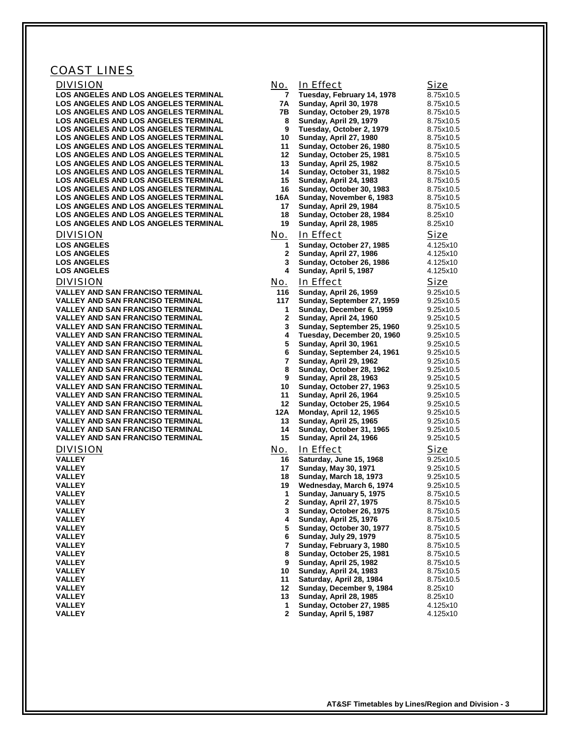### COAST LINES

| <b>DIVISION</b>                                                                            | <u>No.</u>        | In Effect                                                   | <b>Size</b>            |
|--------------------------------------------------------------------------------------------|-------------------|-------------------------------------------------------------|------------------------|
| LOS ANGELES AND LOS ANGELES TERMINAL                                                       | 7                 | Tuesday, February 14, 1978                                  | 8.75x10.5              |
| LOS ANGELES AND LOS ANGELES TERMINAL                                                       | 7A                | Sunday, April 30, 1978                                      | 8.75x10.5              |
| <b>LOS ANGELES AND LOS ANGELES TERMINAL</b>                                                | 7В                | Sunday, October 29, 1978                                    | 8.75x10.5              |
| <b>LOS ANGELES AND LOS ANGELES TERMINAL</b>                                                | 8                 | Sunday, April 29, 1979                                      | 8.75x10.5              |
| <b>LOS ANGELES AND LOS ANGELES TERMINAL</b>                                                | 9                 | Tuesday, October 2, 1979                                    | 8.75x10.5              |
| <b>LOS ANGELES AND LOS ANGELES TERMINAL</b><br><b>LOS ANGELES AND LOS ANGELES TERMINAL</b> | 10<br>11          | Sunday, April 27, 1980                                      | 8.75x10.5              |
| <b>LOS ANGELES AND LOS ANGELES TERMINAL</b>                                                | 12                | Sunday, October 26, 1980<br>Sunday, October 25, 1981        | 8.75x10.5<br>8.75x10.5 |
| LOS ANGELES AND LOS ANGELES TERMINAL                                                       | 13                | Sunday, April 25, 1982                                      | 8.75x10.5              |
| <b>LOS ANGELES AND LOS ANGELES TERMINAL</b>                                                | 14                | Sunday, October 31, 1982                                    | 8.75x10.5              |
| <b>LOS ANGELES AND LOS ANGELES TERMINAL</b>                                                | 15                | Sunday, April 24, 1983                                      | 8.75x10.5              |
| <b>LOS ANGELES AND LOS ANGELES TERMINAL</b>                                                | 16                | Sunday, October 30, 1983                                    | 8.75x10.5              |
| <b>LOS ANGELES AND LOS ANGELES TERMINAL</b>                                                | 16A               | Sunday, November 6, 1983                                    | 8.75x10.5              |
| <b>LOS ANGELES AND LOS ANGELES TERMINAL</b>                                                | 17                | Sunday, April 29, 1984                                      | 8.75x10.5              |
| <b>LOS ANGELES AND LOS ANGELES TERMINAL</b>                                                | 18                | Sunday, October 28, 1984                                    | 8.25x10                |
| LOS ANGELES AND LOS ANGELES TERMINAL                                                       | 19                | Sunday, April 28, 1985                                      | 8.25x10                |
| <b>DIVISION</b>                                                                            | No.               | In Effect                                                   | Size                   |
| <b>LOS ANGELES</b>                                                                         | 1                 | Sunday, October 27, 1985                                    | 4.125x10               |
| <b>LOS ANGELES</b>                                                                         | $\mathbf{2}$      | Sunday, April 27, 1986                                      | 4.125x10               |
| <b>LOS ANGELES</b><br><b>LOS ANGELES</b>                                                   | 3<br>4            | Sunday, October 26, 1986<br>Sunday, April 5, 1987           | 4.125x10<br>4.125x10   |
|                                                                                            |                   |                                                             |                        |
| <b>DIVISION</b>                                                                            | <u>No.</u>        | In Effect                                                   | <b>Size</b>            |
| <b>VALLEY AND SAN FRANCISO TERMINAL</b>                                                    | 116<br>117        | <b>Sunday, April 26, 1959</b><br>Sunday, September 27, 1959 | 9.25x10.5<br>9.25x10.5 |
| <b>VALLEY AND SAN FRANCISO TERMINAL</b><br><b>VALLEY AND SAN FRANCISO TERMINAL</b>         | $\mathbf 1$       | Sunday, December 6, 1959                                    | 9.25x10.5              |
| <b>VALLEY AND SAN FRANCISO TERMINAL</b>                                                    | $\mathbf{2}$      | Sunday, April 24, 1960                                      | 9.25x10.5              |
| <b>VALLEY AND SAN FRANCISO TERMINAL</b>                                                    | 3                 | Sunday, September 25, 1960                                  | 9.25x10.5              |
| <b>VALLEY AND SAN FRANCISO TERMINAL</b>                                                    | 4                 | Tuesday, December 20, 1960                                  | 9.25x10.5              |
| <b>VALLEY AND SAN FRANCISO TERMINAL</b>                                                    | 5                 | Sunday, April 30, 1961                                      | 9.25x10.5              |
| <b>VALLEY AND SAN FRANCISO TERMINAL</b>                                                    | 6                 | Sunday, September 24, 1961                                  | 9.25x10.5              |
| <b>VALLEY AND SAN FRANCISO TERMINAL</b>                                                    | $\overline{7}$    | Sunday, April 29, 1962                                      | 9.25x10.5              |
| <b>VALLEY AND SAN FRANCISO TERMINAL</b><br><b>VALLEY AND SAN FRANCISO TERMINAL</b>         | 8<br>9            | Sunday, October 28, 1962<br><b>Sunday, April 28, 1963</b>   | 9.25x10.5<br>9.25x10.5 |
| <b>VALLEY AND SAN FRANCISO TERMINAL</b>                                                    | 10                | Sunday, October 27, 1963                                    | 9.25x10.5              |
| <b>VALLEY AND SAN FRANCISO TERMINAL</b>                                                    | 11                | Sunday, April 26, 1964                                      | 9.25x10.5              |
| <b>VALLEY AND SAN FRANCISO TERMINAL</b>                                                    | 12 <sup>12</sup>  | Sunday, October 25, 1964                                    | 9.25x10.5              |
| <b>VALLEY AND SAN FRANCISO TERMINAL</b>                                                    | 12A               | Monday, April 12, 1965                                      | 9.25x10.5              |
| <b>VALLEY AND SAN FRANCISO TERMINAL</b>                                                    | 13                | <b>Sunday, April 25, 1965</b>                               | 9.25x10.5              |
| <b>VALLEY AND SAN FRANCISO TERMINAL</b>                                                    | 14                | Sunday, October 31, 1965                                    | 9.25x10.5              |
| <b>VALLEY AND SAN FRANCISO TERMINAL</b>                                                    | 15                | Sunday, April 24, 1966                                      | 9.25x10.5              |
| <b>DIVISION</b>                                                                            | <u>No.</u>        | In Effect                                                   | <u>Size</u>            |
| <b>VALLEY</b><br><b>VALLEY</b>                                                             | 16<br>17          | Saturday, June 15, 1968<br><b>Sunday, May 30, 1971</b>      | 9.25x10.5<br>9.25x10.5 |
| <b>VALLEY</b>                                                                              | 18                | <b>Sunday, March 18, 1973</b>                               | 9.25x10.5              |
| <b>VALLEY</b>                                                                              | 19                | Wednesday, March 6, 1974                                    | 9.25x10.5              |
| <b>VALLEY</b>                                                                              | 1                 | Sunday, January 5, 1975                                     | 8.75x10.5              |
| <b>VALLEY</b>                                                                              | $\mathbf{2}$      | Sunday, April 27, 1975                                      | 8.75x10.5              |
| <b>VALLEY</b>                                                                              | 3                 | Sunday, October 26, 1975                                    | 8.75x10.5              |
| <b>VALLEY</b>                                                                              | 4                 | Sunday, April 25, 1976                                      | 8.75x10.5              |
| <b>VALLEY</b>                                                                              | 5                 | Sunday, October 30, 1977                                    | 8.75x10.5              |
| <b>VALLEY</b><br><b>VALLEY</b>                                                             | 6<br>7            | <b>Sunday, July 29, 1979</b><br>Sunday, February 3, 1980    | 8.75x10.5<br>8.75x10.5 |
| <b>VALLEY</b>                                                                              | 8                 | Sunday, October 25, 1981                                    | 8.75x10.5              |
| <b>VALLEY</b>                                                                              | 9                 | Sunday, April 25, 1982                                      | 8.75x10.5              |
| <b>VALLEY</b>                                                                              | 10                | Sunday, April 24, 1983                                      | 8.75x10.5              |
| <b>VALLEY</b>                                                                              | 11                | Saturday, April 28, 1984                                    | 8.75x10.5              |
| <b>VALLEY</b>                                                                              | 12                | Sunday, December 9, 1984                                    | 8.25x10                |
| <b>VALLEY</b>                                                                              | 13                | Sunday, April 28, 1985                                      | 8.25x10                |
| <b>VALLEY</b><br><b>VALLEY</b>                                                             | 1<br>$\mathbf{2}$ | Sunday, October 27, 1985                                    | 4.125x10               |
|                                                                                            |                   | Sunday, April 5, 1987                                       | 4.125x10               |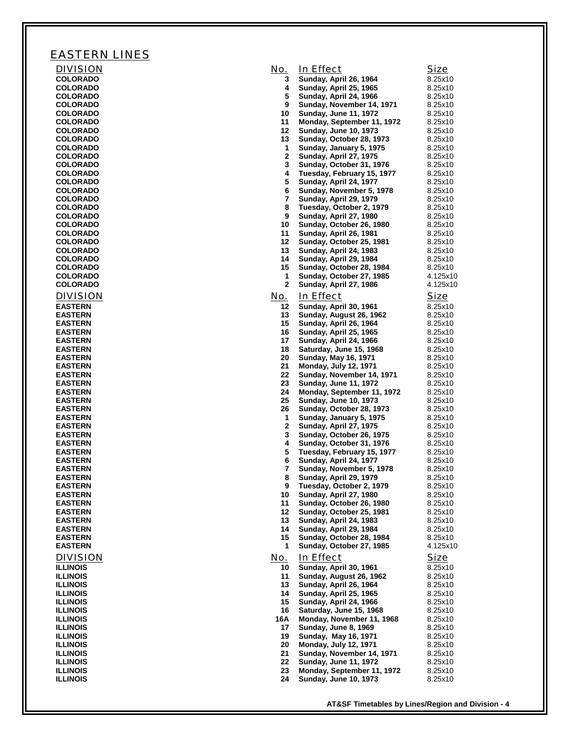## EASTERN LINES

| <b>DIVISION</b>                    | No.          | In Effect                                                  | Size               |
|------------------------------------|--------------|------------------------------------------------------------|--------------------|
| <b>COLORADO</b>                    | 3            | Sunday, April 26, 1964                                     | 8.25x10            |
| <b>COLORADO</b><br><b>COLORADO</b> | 4<br>5       | Sunday, April 25, 1965<br>Sunday, April 24, 1966           | 8.25x10<br>8.25x10 |
| <b>COLORADO</b>                    | 9            | Sunday, November 14, 1971                                  | 8.25x10            |
| <b>COLORADO</b>                    | 10           | Sunday, June 11, 1972                                      | 8.25x10            |
| <b>COLORADO</b>                    | 11           | Monday, September 11, 1972                                 | 8.25x10            |
| <b>COLORADO</b>                    | 12           | <b>Sunday, June 10, 1973</b>                               | 8.25x10            |
| <b>COLORADO</b><br><b>COLORADO</b> | 13<br>1      | Sunday, October 28, 1973                                   | 8.25x10<br>8.25x10 |
| <b>COLORADO</b>                    | 2            | Sunday, January 5, 1975<br>Sunday, April 27, 1975          | 8.25x10            |
| <b>COLORADO</b>                    | 3            | Sunday, October 31, 1976                                   | 8.25x10            |
| <b>COLORADO</b>                    | 4            | Tuesday, February 15, 1977                                 | 8.25x10            |
| <b>COLORADO</b>                    | 5            | Sunday, April 24, 1977                                     | 8.25x10            |
| <b>COLORADO</b>                    | 6<br>7       | Sunday, November 5, 1978                                   | 8.25x10            |
| <b>COLORADO</b><br><b>COLORADO</b> | 8            | Sunday, April 29, 1979<br>Tuesday, October 2, 1979         | 8.25x10<br>8.25x10 |
| <b>COLORADO</b>                    | 9            | Sunday, April 27, 1980                                     | 8.25x10            |
| <b>COLORADO</b>                    | 10           | Sunday, October 26, 1980                                   | 8.25x10            |
| <b>COLORADO</b>                    | 11           | Sunday, April 26, 1981                                     | 8.25x10            |
| <b>COLORADO</b>                    | 12           | Sunday, October 25, 1981                                   | 8.25x10            |
| <b>COLORADO</b><br><b>COLORADO</b> | 13<br>14     | Sunday, April 24, 1983<br>Sunday, April 29, 1984           | 8.25x10<br>8.25x10 |
| <b>COLORADO</b>                    | 15           | Sunday, October 28, 1984                                   | 8.25x10            |
| <b>COLORADO</b>                    | 1            | Sunday, October 27, 1985                                   | 4.125x10           |
| <b>COLORADO</b>                    | $\mathbf{2}$ | Sunday, April 27, 1986                                     | 4.125x10           |
| <b>DIVISION</b>                    | No.          | In Effect                                                  | <b>Size</b>        |
| <b>EASTERN</b>                     | 12           | Sunday, April 30, 1961                                     | 8.25x10            |
| <b>EASTERN</b>                     | 13           | Sunday, August 26, 1962                                    | 8.25x10            |
| <b>EASTERN</b>                     | 15           | Sunday, April 26, 1964                                     | 8.25x10            |
| <b>EASTERN</b><br><b>EASTERN</b>   | 16<br>17     | Sunday, April 25, 1965<br>Sunday, April 24, 1966           | 8.25x10<br>8.25x10 |
| <b>EASTERN</b>                     | 18           | Saturday, June 15, 1968                                    | 8.25x10            |
| <b>EASTERN</b>                     | 20           | Sunday, May 16, 1971                                       | 8.25x10            |
| <b>EASTERN</b>                     | 21           | Monday, July 12, 1971                                      | 8.25x10            |
| <b>EASTERN</b>                     | 22           | Sunday, November 14, 1971                                  | 8.25x10            |
| <b>EASTERN</b><br><b>EASTERN</b>   | 23<br>24     | Sunday, June 11, 1972<br>Monday, September 11, 1972        | 8.25x10<br>8.25x10 |
| <b>EASTERN</b>                     | 25           | Sunday, June 10, 1973                                      | 8.25x10            |
| <b>EASTERN</b>                     | 26           | Sunday, October 28, 1973                                   | 8.25x10            |
| <b>EASTERN</b>                     | 1            | Sunday, January 5, 1975                                    | 8.25x10            |
| <b>EASTERN</b><br><b>EASTERN</b>   | 2<br>3       | Sunday, April 27, 1975                                     | 8.25x10<br>8.25x10 |
| <b>EASTERN</b>                     | 4            | Sunday, October 26, 1975<br>Sunday, October 31, 1976       | 8.25x10            |
| <b>EASTERN</b>                     | 5            | Tuesday, February 15, 1977                                 | 8.25x10            |
| <b>EASTERN</b>                     | 6            | Sunday, April 24, 1977                                     | 8.25x10            |
| <b>EASTERN</b>                     | 7            | Sunday, November 5, 1978                                   | 8.25x10            |
| <b>EASTERN</b><br><b>EASTERN</b>   | 8<br>9       | Sunday, April 29, 1979<br>Tuesday, October 2, 1979         | 8.25x10<br>8.25x10 |
| <b>EASTERN</b>                     | 10           | Sunday, April 27, 1980                                     | 8.25x10            |
| <b>EASTERN</b>                     | 11           | Sunday, October 26, 1980                                   | 8.25x10            |
| <b>EASTERN</b>                     | 12           | Sunday, October 25, 1981                                   | 8.25x10            |
| <b>EASTERN</b>                     | 13           | Sunday, April 24, 1983                                     | 8.25x10            |
| <b>EASTERN</b><br><b>EASTERN</b>   | 14<br>15     | Sunday, April 29, 1984<br>Sunday, October 28, 1984         | 8.25x10<br>8.25x10 |
| <b>EASTERN</b>                     | 1            | Sunday, October 27, 1985                                   | 4.125x10           |
| <b>DIVISION</b>                    | No.          | In Effect                                                  | <b>Size</b>        |
| <b>ILLINOIS</b>                    | 10           | Sunday, April 30, 1961                                     | 8.25x10            |
| <b>ILLINOIS</b>                    | 11           | Sunday, August 26, 1962                                    | 8.25x10            |
| <b>ILLINOIS</b>                    | 13           | Sunday, April 26, 1964                                     | 8.25x10            |
| <b>ILLINOIS</b>                    | 14           | Sunday, April 25, 1965                                     | 8.25x10            |
| <b>ILLINOIS</b><br><b>ILLINOIS</b> | 15<br>16     | Sunday, April 24, 1966<br>Saturday, June 15, 1968          | 8.25x10<br>8.25x10 |
| <b>ILLINOIS</b>                    | 16A          | Monday, November 11, 1968                                  | 8.25x10            |
| <b>ILLINOIS</b>                    | 17           | <b>Sunday, June 8, 1969</b>                                | 8.25x10            |
| <b>ILLINOIS</b>                    | 19           | Sunday, May 16, 1971                                       | 8.25x10            |
| <b>ILLINOIS</b>                    | 20           | <b>Monday, July 12, 1971</b>                               | 8.25x10            |
| <b>ILLINOIS</b>                    | 21<br>22     | Sunday, November 14, 1971                                  | 8.25x10            |
| <b>ILLINOIS</b><br><b>ILLINOIS</b> | 23           | <b>Sunday, June 11, 1972</b><br>Monday, September 11, 1972 | 8.25x10<br>8.25x10 |
| <b>ILLINOIS</b>                    | 24           | <b>Sunday, June 10, 1973</b>                               | 8.25x10            |
|                                    |              |                                                            |                    |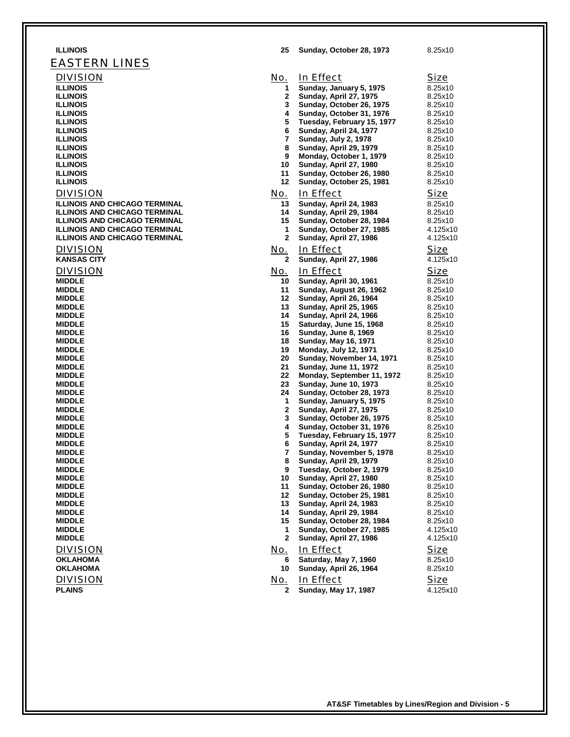| <b>ILLINOIS</b>                      | 25             | Sunday, October 28, 1973                                   | 8.25x10            |
|--------------------------------------|----------------|------------------------------------------------------------|--------------------|
| <b>EASTERN LINES</b>                 |                |                                                            |                    |
| <b>DIVISION</b>                      | No.            | In Effect                                                  | Size               |
| <b>ILLINOIS</b>                      | 1              | Sunday, January 5, 1975                                    | 8.25x10            |
| <b>ILLINOIS</b>                      | $\mathbf{2}$   | Sunday, April 27, 1975                                     | 8.25x10            |
| <b>ILLINOIS</b>                      | 3              | Sunday, October 26, 1975                                   | 8.25x10            |
| <b>ILLINOIS</b>                      | 4              | Sunday, October 31, 1976                                   | 8.25x10            |
| <b>ILLINOIS</b>                      | 5              | Tuesday, February 15, 1977                                 | 8.25x10            |
| <b>ILLINOIS</b>                      | 6              | Sunday, April 24, 1977                                     | 8.25x10            |
| <b>ILLINOIS</b>                      | 7              | <b>Sunday, July 2, 1978</b>                                | 8.25x10            |
| <b>ILLINOIS</b>                      | 8              | Sunday, April 29, 1979                                     | 8.25x10            |
| <b>ILLINOIS</b>                      | 9              | Monday, October 1, 1979                                    | 8.25x10            |
| <b>ILLINOIS</b>                      | 10             | Sunday, April 27, 1980                                     | 8.25x10            |
| <b>ILLINOIS</b>                      | 11             | Sunday, October 26, 1980                                   | 8.25x10            |
| <b>ILLINOIS</b>                      | 12             | Sunday, October 25, 1981                                   | 8.25x10            |
| <b>DIVISION</b>                      | No.            | In Effect                                                  | <b>Size</b>        |
| <b>ILLINOIS AND CHICAGO TERMINAL</b> | 13             | Sunday, April 24, 1983                                     | 8.25x10            |
| <b>ILLINOIS AND CHICAGO TERMINAL</b> | 14             | Sunday, April 29, 1984                                     | 8.25x10            |
| <b>ILLINOIS AND CHICAGO TERMINAL</b> | 15             | Sunday, October 28, 1984                                   | 8.25x10            |
| <b>ILLINOIS AND CHICAGO TERMINAL</b> | 1              | Sunday, October 27, 1985                                   | 4.125x10           |
| <b>ILLINOIS AND CHICAGO TERMINAL</b> | $\mathbf{2}$   | Sunday, April 27, 1986                                     | 4.125x10           |
| <b>DIVISION</b>                      | <u>No.</u>     | In Effect                                                  | Size               |
| <b>KANSAS CITY</b>                   | $\mathbf{2}$   | Sunday, April 27, 1986                                     | 4.125x10           |
| <b>DIVISION</b>                      | <u>No.</u>     | In Effect                                                  | Size               |
| <b>MIDDLE</b>                        | 10             | Sunday, April 30, 1961                                     | 8.25x10            |
| <b>MIDDLE</b>                        | 11             | Sunday, August 26, 1962                                    | 8.25x10            |
| <b>MIDDLE</b>                        | 12             | Sunday, April 26, 1964                                     | 8.25x10            |
| <b>MIDDLE</b>                        | 13             | <b>Sunday, April 25, 1965</b>                              | 8.25x10            |
| <b>MIDDLE</b>                        | 14             | Sunday, April 24, 1966                                     | 8.25x10            |
| <b>MIDDLE</b>                        | 15             | Saturday, June 15, 1968                                    | 8.25x10            |
| <b>MIDDLE</b>                        | 16             | <b>Sunday, June 8, 1969</b>                                | 8.25x10            |
| <b>MIDDLE</b>                        | 18             | <b>Sunday, May 16, 1971</b>                                | 8.25x10            |
| <b>MIDDLE</b>                        | 19             | <b>Monday, July 12, 1971</b>                               | 8.25x10            |
| <b>MIDDLE</b>                        | 20             | Sunday, November 14, 1971                                  | 8.25x10            |
| <b>MIDDLE</b><br><b>MIDDLE</b>       | 21<br>22       | <b>Sunday, June 11, 1972</b>                               | 8.25x10<br>8.25x10 |
| <b>MIDDLE</b>                        | 23             | Monday, September 11, 1972<br><b>Sunday, June 10, 1973</b> | 8.25x10            |
| <b>MIDDLE</b>                        | 24             | Sunday, October 28, 1973                                   | 8.25x10            |
| <b>MIDDLE</b>                        | 1              | Sunday, January 5, 1975                                    | 8.25x10            |
| <b>MIDDLE</b>                        | $\mathbf{2}$   | Sunday, April 27, 1975                                     | 8.25x10            |
| <b>MIDDLE</b>                        | 3              | Sunday, October 26, 1975                                   | 8.25x10            |
| <b>MIDDLE</b>                        | 4              | Sunday, October 31, 1976                                   | 8.25x10            |
| <b>MIDDLE</b>                        | 5              | Tuesday, February 15, 1977                                 | 8.25x10            |
| <b>MIDDLE</b>                        | 6              | Sunday, April 24, 1977                                     | 8.25x10            |
| <b>MIDDLE</b>                        | $\overline{7}$ | Sunday, November 5, 1978                                   | 8.25x10            |
| <b>MIDDLE</b>                        | 8              | Sunday, April 29, 1979                                     | 8.25x10            |
| <b>MIDDLE</b>                        | 9              | Tuesday, October 2, 1979                                   | 8.25x10            |
| <b>MIDDLE</b>                        | 10             | Sunday, April 27, 1980                                     | 8.25x10            |
| <b>MIDDLE</b><br><b>MIDDLE</b>       | 11<br>12       | Sunday, October 26, 1980<br>Sunday, October 25, 1981       | 8.25x10            |
| <b>MIDDLE</b>                        | 13             | Sunday, April 24, 1983                                     | 8.25x10<br>8.25x10 |
| <b>MIDDLE</b>                        | 14             | Sunday, April 29, 1984                                     | 8.25x10            |
| <b>MIDDLE</b>                        | 15             | Sunday, October 28, 1984                                   | 8.25x10            |
| <b>MIDDLE</b>                        | 1              | Sunday, October 27, 1985                                   | 4.125x10           |
| <b>MIDDLE</b>                        | $\mathbf{2}$   | Sunday, April 27, 1986                                     | 4.125x10           |
| <b>DIVISION</b>                      | <u>No.</u>     | In Effect                                                  | <b>Size</b>        |
| <b>OKLAHOMA</b>                      | 6              | Saturday, May 7, 1960                                      | 8.25x10            |
| <b>OKLAHOMA</b>                      | 10             | Sunday, April 26, 1964                                     | 8.25x10            |
|                                      |                |                                                            |                    |
| <b>DIVISION</b>                      | <u>No.</u>     | In Effect                                                  | Size               |
| <b>PLAINS</b>                        | $\mathbf{2}$   | Sunday, May 17, 1987                                       | 4.125x10           |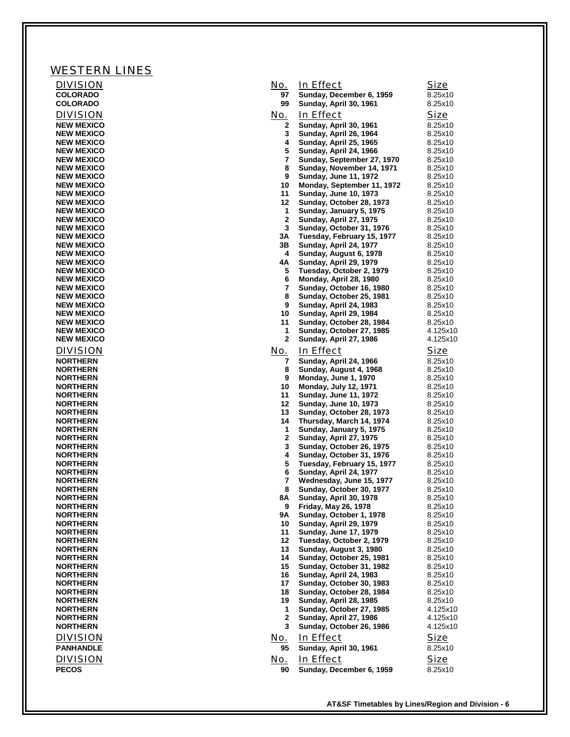| <b>WESTERN LINES</b>                   |                   |                                                            |                     |
|----------------------------------------|-------------------|------------------------------------------------------------|---------------------|
| <b>DIVISION</b>                        | No.               | In Effect                                                  | <b>Size</b>         |
| <b>COLORADO</b>                        | 97                | Sunday, December 6, 1959                                   | 8.25x10             |
| COLORADO                               | 99                | Sunday, April 30, 1961                                     | 8.25x10             |
| <b>DIVISION</b><br><b>NEW MEXICO</b>   | <u>No.</u><br>2   | In Effect<br>Sunday, April 30, 1961                        | Size<br>8.25x10     |
| <b>NEW MEXICO</b>                      | 3                 | Sunday, April 26, 1964                                     | 8.25x10             |
| <b>NEW MEXICO</b>                      | 4                 | <b>Sunday, April 25, 1965</b>                              | 8.25x10             |
| <b>NEW MEXICO</b><br><b>NEW MEXICO</b> | 5<br>7            | Sunday, April 24, 1966<br>Sunday, September 27, 1970       | 8.25x10<br>8.25x10  |
| <b>NEW MEXICO</b>                      | 8                 | Sunday, November 14, 1971                                  | 8.25x10             |
| <b>NEW MEXICO</b>                      | 9                 | <b>Sunday, June 11, 1972</b>                               | 8.25x10             |
| <b>NEW MEXICO</b><br><b>NEW MEXICO</b> | 10<br>11          | Monday, September 11, 1972<br><b>Sunday, June 10, 1973</b> | 8.25x10<br>8.25x10  |
| <b>NEW MEXICO</b>                      | 12                | Sunday, October 28, 1973                                   | 8.25x10             |
| <b>NEW MEXICO</b>                      | 1                 | Sunday, January 5, 1975                                    | 8.25x10             |
| <b>NEW MEXICO</b><br><b>NEW MEXICO</b> | $\mathbf{2}$<br>3 | <b>Sunday, April 27, 1975</b><br>Sunday, October 31, 1976  | 8.25x10<br>8.25x10  |
| <b>NEW MEXICO</b>                      | 3Α                | Tuesday, February 15, 1977                                 | 8.25x10             |
| <b>NEW MEXICO</b>                      | 3В                | Sunday, April 24, 1977                                     | 8.25x10             |
| <b>NEW MEXICO</b><br><b>NEW MEXICO</b> | 4<br>4Α           | Sunday, August 6, 1978<br>Sunday, April 29, 1979           | 8.25x10<br>8.25x10  |
| <b>NEW MEXICO</b>                      | 5                 | Tuesday, October 2, 1979                                   | 8.25x10             |
| <b>NEW MEXICO</b>                      | 6                 | Monday, April 28, 1980                                     | 8.25x10             |
| <b>NEW MEXICO</b><br><b>NEW MEXICO</b> | 7<br>8            | Sunday, October 16, 1980<br>Sunday, October 25, 1981       | 8.25x10<br>8.25x10  |
| <b>NEW MEXICO</b>                      | 9                 | Sunday, April 24, 1983                                     | 8.25x10             |
| <b>NEW MEXICO</b>                      | 10                | Sunday, April 29, 1984                                     | 8.25x10             |
| <b>NEW MEXICO</b><br><b>NEW MEXICO</b> | 11<br>1           | Sunday, October 28, 1984<br>Sunday, October 27, 1985       | 8.25x10<br>4.125x10 |
| <b>NEW MEXICO</b>                      | $\mathbf{2}$      | Sunday, April 27, 1986                                     | 4.125x10            |
| <b>DIVISION</b>                        | <u>No.</u>        | In Effect                                                  | <b>Size</b>         |
| <b>NORTHERN</b>                        | 7                 | Sunday, April 24, 1966                                     | 8.25x10             |
| <b>NORTHERN</b><br><b>NORTHERN</b>     | 8<br>9            | Sunday, August 4, 1968<br>Monday, June 1, 1970             | 8.25x10<br>8.25x10  |
| <b>NORTHERN</b>                        | 10                | <b>Monday, July 12, 1971</b>                               | 8.25x10             |
| <b>NORTHERN</b>                        | 11                | <b>Sunday, June 11, 1972</b>                               | 8.25x10             |
| <b>NORTHERN</b><br><b>NORTHERN</b>     | 12<br>13          | <b>Sunday, June 10, 1973</b><br>Sunday, October 28, 1973   | 8.25x10<br>8.25x10  |
| <b>NORTHERN</b>                        | 14                | Thursday, March 14, 1974                                   | 8.25x10             |
| <b>NORTHERN</b>                        | 1                 | Sunday, January 5, 1975                                    | 8.25x10             |
| <b>NORTHERN</b><br><b>NORTHERN</b>     | $\mathbf{2}$<br>3 | Sunday, April 27, 1975<br>Sunday, October 26, 1975         | 8.25x10<br>8.25x10  |
| <b>NORTHERN</b>                        | 4                 | Sunday, October 31, 1976                                   | 8.25x10             |
| <b>NORTHERN</b><br><b>NORTHERN</b>     | 5<br>6            | Tuesday, February 15, 1977                                 | 8.25x10             |
| <b>NORTHERN</b>                        | 7                 | Sunday, April 24, 1977<br>Wednesday, June 15, 1977         | 8.25x10<br>8.25x10  |
| <b>NORTHERN</b>                        | 8                 | Sunday, October 30, 1977                                   | 8.25x10             |
| <b>NORTHERN</b><br><b>NORTHERN</b>     | 8A<br>9           | Sunday, April 30, 1978<br><b>Friday, May 26, 1978</b>      | 8.25x10<br>8.25x10  |
| <b>NORTHERN</b>                        | 9Α                | Sunday, October 1, 1978                                    | 8.25x10             |
| <b>NORTHERN</b>                        | 10                | Sunday, April 29, 1979                                     | 8.25x10             |
| <b>NORTHERN</b><br><b>NORTHERN</b>     | 11<br>12          | <b>Sunday, June 17, 1979</b><br>Tuesday, October 2, 1979   | 8.25x10<br>8.25x10  |
| <b>NORTHERN</b>                        | 13                | Sunday, August 3, 1980                                     | 8.25x10             |
| <b>NORTHERN</b>                        | 14                | Sunday, October 25, 1981                                   | 8.25x10             |
| <b>NORTHERN</b><br><b>NORTHERN</b>     | 15<br>16          | Sunday, October 31, 1982<br>Sunday, April 24, 1983         | 8.25x10<br>8.25x10  |
| <b>NORTHERN</b>                        | 17                | Sunday, October 30, 1983                                   | 8.25x10             |
| <b>NORTHERN</b>                        | 18                | Sunday, October 28, 1984                                   | 8.25x10             |
| <b>NORTHERN</b><br><b>NORTHERN</b>     | 19<br>1           | Sunday, April 28, 1985<br>Sunday, October 27, 1985         | 8.25x10<br>4.125x10 |
| <b>NORTHERN</b>                        | $\mathbf{2}$      | Sunday, April 27, 1986                                     | 4.125x10            |
| <b>NORTHERN</b>                        | 3                 | Sunday, October 26, 1986                                   | 4.125x10            |
| <b>DIVISION</b>                        | No.               | In Effect                                                  | <u>Size</u>         |
| <b>PANHANDLE</b>                       | 95                | <b>Sunday, April 30, 1961</b>                              | 8.25x10             |
| <b>DIVISION</b>                        | No.               | In Effect                                                  | <u>Size</u>         |
| <b>PECOS</b>                           | 90                | Sunday, December 6, 1959                                   | 8.25x10             |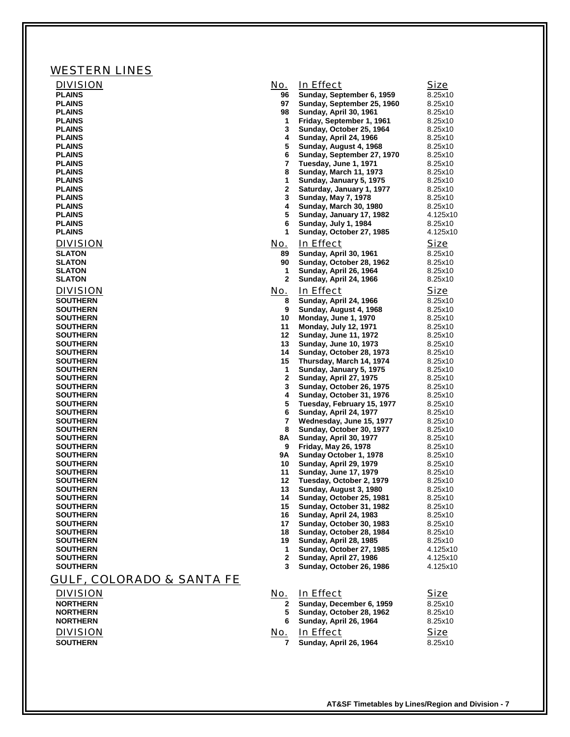| <b>WESTERN LINES</b>               |                   |                                                      |                        |
|------------------------------------|-------------------|------------------------------------------------------|------------------------|
| <b>DIVISION</b>                    | No.               | In Effect                                            | Size                   |
| <b>PLAINS</b>                      | 96                | Sunday, September 6, 1959                            | 8.25x10                |
| <b>PLAINS</b>                      | 97                | Sunday, September 25, 1960                           | 8.25x10                |
| <b>PLAINS</b><br><b>PLAINS</b>     | 98<br>$\mathbf 1$ | Sunday, April 30, 1961<br>Friday, September 1, 1961  | 8.25x10<br>8.25x10     |
| <b>PLAINS</b>                      | 3                 | Sunday, October 25, 1964                             | 8.25x10                |
| <b>PLAINS</b>                      | 4                 | Sunday, April 24, 1966                               | 8.25x10                |
| <b>PLAINS</b>                      | 5                 | Sunday, August 4, 1968                               | 8.25x10                |
| <b>PLAINS</b><br><b>PLAINS</b>     | 6<br>7            | Sunday, September 27, 1970<br>Tuesday, June 1, 1971  | 8.25x10<br>8.25x10     |
| <b>PLAINS</b>                      | 8                 | <b>Sunday, March 11, 1973</b>                        | 8.25x10                |
| <b>PLAINS</b>                      | 1                 | Sunday, January 5, 1975                              | 8.25x10                |
| <b>PLAINS</b><br><b>PLAINS</b>     | $\mathbf{2}$<br>3 | Saturday, January 1, 1977                            | 8.25x10<br>8.25x10     |
| <b>PLAINS</b>                      | 4                 | <b>Sunday, May 7, 1978</b><br>Sunday, March 30, 1980 | 8.25x10                |
| <b>PLAINS</b>                      | 5                 | Sunday, January 17, 1982                             | 4.125x10               |
| <b>PLAINS</b>                      | 6                 | Sunday, July 1, 1984                                 | 8.25x10                |
| <b>PLAINS</b>                      | 1                 | Sunday, October 27, 1985                             | 4.125x10               |
| <b>DIVISION</b>                    | No.               | In Effect                                            | Size                   |
| <b>SLATON</b><br><b>SLATON</b>     | 89<br>90          | Sunday, April 30, 1961<br>Sunday, October 28, 1962   | 8.25x10<br>8.25x10     |
| <b>SLATON</b>                      | $\mathbf{1}$      | Sunday, April 26, 1964                               | 8.25x10                |
| <b>SLATON</b>                      | $\mathbf{2}$      | Sunday, April 24, 1966                               | 8.25x10                |
| <b>DIVISION</b>                    | No.               | In Effect                                            | Size                   |
| <b>SOUTHERN</b>                    | 8                 | Sunday, April 24, 1966                               | 8.25x10                |
| <b>SOUTHERN</b>                    | 9                 | Sunday, August 4, 1968                               | 8.25x10                |
| <b>SOUTHERN</b><br><b>SOUTHERN</b> | 10<br>11          | Monday, June 1, 1970<br><b>Monday, July 12, 1971</b> | 8.25x10<br>8.25x10     |
| <b>SOUTHERN</b>                    | 12                | <b>Sunday, June 11, 1972</b>                         | 8.25x10                |
| <b>SOUTHERN</b>                    | 13                | <b>Sunday, June 10, 1973</b>                         | 8.25x10                |
| <b>SOUTHERN</b>                    | 14                | Sunday, October 28, 1973                             | 8.25x10                |
| <b>SOUTHERN</b><br><b>SOUTHERN</b> | 15<br>$\mathbf 1$ | Thursday, March 14, 1974<br>Sunday, January 5, 1975  | 8.25x10<br>8.25x10     |
| <b>SOUTHERN</b>                    | $\mathbf{2}$      | <b>Sunday, April 27, 1975</b>                        | 8.25x10                |
| <b>SOUTHERN</b>                    | 3                 | Sunday, October 26, 1975                             | 8.25x10                |
| <b>SOUTHERN</b>                    | 4                 | Sunday, October 31, 1976                             | 8.25x10                |
| <b>SOUTHERN</b><br><b>SOUTHERN</b> | 5<br>6            | Tuesday, February 15, 1977<br>Sunday, April 24, 1977 | 8.25x10<br>8.25x10     |
| <b>SOUTHERN</b>                    | 7                 | Wednesday, June 15, 1977                             | 8.25x10                |
| <b>SOUTHERN</b>                    | 8                 | Sunday, October 30, 1977                             | 8.25x10                |
| <b>SOUTHERN</b>                    | 8Α                | Sunday, April 30, 1977                               | 8.25x10                |
| <b>SOUTHERN</b><br><b>SOUTHERN</b> | 9<br>9Α           | Friday, May 26, 1978<br>Sunday October 1, 1978       | 8.25x10<br>8.25x10     |
| <b>SOUTHERN</b>                    | 10                | Sunday, April 29, 1979                               | 8.25x10                |
| <b>SOUTHERN</b>                    | 11                | <b>Sunday, June 17, 1979</b>                         | 8.25x10                |
| <b>SOUTHERN</b>                    | 12                | Tuesday, October 2, 1979<br>Sunday, August 3, 1980   | 8.25x10                |
| <b>SOUTHERN</b><br><b>SOUTHERN</b> | 13<br>14          | Sunday, October 25, 1981                             | 8.25x10<br>8.25x10     |
| <b>SOUTHERN</b>                    | 15                | Sunday, October 31, 1982                             | 8.25x10                |
| <b>SOUTHERN</b>                    | 16                | Sunday, April 24, 1983                               | 8.25x10                |
| <b>SOUTHERN</b><br><b>SOUTHERN</b> | 17<br>18          | Sunday, October 30, 1983<br>Sunday, October 28, 1984 | 8.25x10<br>8.25x10     |
| <b>SOUTHERN</b>                    | 19                | Sunday, April 28, 1985                               | 8.25x10                |
| <b>SOUTHERN</b>                    | 1                 | Sunday, October 27, 1985                             | 4.125x10               |
| <b>SOUTHERN</b>                    | $\mathbf{2}$      | Sunday, April 27, 1986                               | 4.125x10               |
| <b>SOUTHERN</b>                    | 3                 | Sunday, October 26, 1986                             | 4.125x10               |
| GULF, COLORADO & SANTA FE          |                   |                                                      |                        |
| <b>DIVISION</b>                    | <u>No.</u>        | In Effect                                            | <b>Size</b>            |
| <b>NORTHERN</b>                    | 2                 | Sunday, December 6, 1959                             | 8.25x10                |
| <b>NORTHERN</b><br><b>NORTHERN</b> | 5<br>6            | Sunday, October 28, 1962                             | 8.25x10                |
|                                    |                   | Sunday, April 26, 1964                               | 8.25x10                |
| <b>DIVISION</b><br><b>SOUTHERN</b> | <u>No.</u><br>7   | In Effect<br>Sunday, April 26, 1964                  | <u>Size</u><br>8.25x10 |
|                                    |                   |                                                      |                        |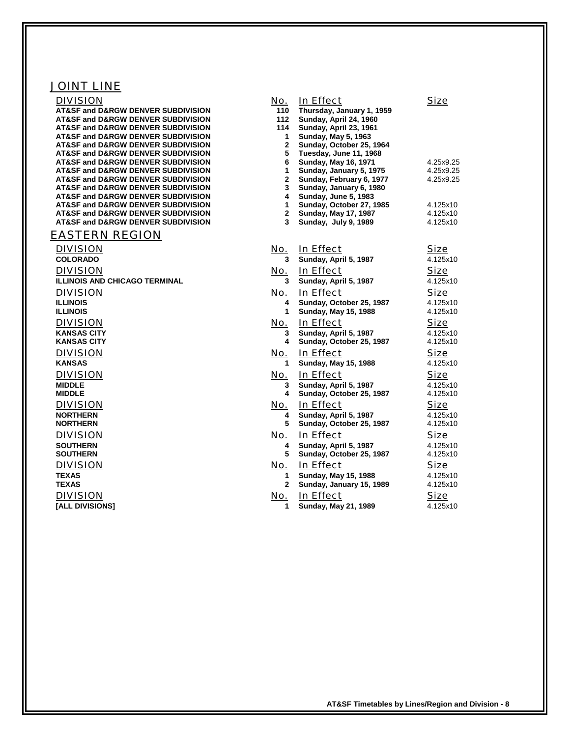## JOINT LINE

| <b>DIVISION</b><br><b>AT&amp;SF and D&amp;RGW DENVER SUBDIVISION</b>                                   | <u>No.</u><br>110 | In Effect<br>Thursday, January 1, 1959              | <b>Size</b>          |
|--------------------------------------------------------------------------------------------------------|-------------------|-----------------------------------------------------|----------------------|
| <b>AT&amp;SF and D&amp;RGW DENVER SUBDIVISION</b><br><b>AT&amp;SF and D&amp;RGW DENVER SUBDIVISION</b> | 112<br>114        | Sunday, April 24, 1960<br>Sunday, April 23, 1961    |                      |
| AT&SF and D&RGW DENVER SUBDIVISION                                                                     | 1                 | <b>Sunday, May 5, 1963</b>                          |                      |
| AT&SF and D&RGW DENVER SUBDIVISION                                                                     | 2                 | Sunday, October 25, 1964                            |                      |
| <b>AT&amp;SF and D&amp;RGW DENVER SUBDIVISION</b>                                                      | 5                 | Tuesday, June 11, 1968                              |                      |
| AT&SF and D&RGW DENVER SUBDIVISION                                                                     | 6                 | <b>Sunday, May 16, 1971</b>                         | 4.25x9.25            |
| <b>AT&amp;SF and D&amp;RGW DENVER SUBDIVISION</b>                                                      | 1                 | Sunday, January 5, 1975                             | 4.25x9.25            |
| AT&SF and D&RGW DENVER SUBDIVISION<br><b>AT&amp;SF and D&amp;RGW DENVER SUBDIVISION</b>                | 2<br>3            | Sunday, February 6, 1977<br>Sunday, January 6, 1980 | 4.25x9.25            |
| AT&SF and D&RGW DENVER SUBDIVISION                                                                     | 4                 | <b>Sunday, June 5, 1983</b>                         |                      |
| <b>AT&amp;SF and D&amp;RGW DENVER SUBDIVISION</b>                                                      | 1                 | Sunday, October 27, 1985                            | 4.125x10             |
| <b>AT&amp;SF and D&amp;RGW DENVER SUBDIVISION</b>                                                      | $\mathbf{2}$      | <b>Sunday, May 17, 1987</b>                         | 4.125x10             |
| AT&SF and D&RGW DENVER SUBDIVISION                                                                     | 3                 | Sunday, July 9, 1989                                | 4.125x10             |
| EASTERN REGION                                                                                         |                   |                                                     |                      |
| <b>DIVISION</b>                                                                                        | <u>No.</u>        | In Effect                                           | <b>Size</b>          |
| <b>COLORADO</b>                                                                                        |                   | Sunday, April 5, 1987                               | 4.125x10             |
| <b>DIVISION</b>                                                                                        | <u>No.</u>        | In Effect                                           | Size                 |
| <b>ILLINOIS AND CHICAGO TERMINAL</b>                                                                   | 3                 | Sunday, April 5, 1987                               | 4.125x10             |
| <b>DIVISION</b>                                                                                        | <u>No.</u>        | In Effect                                           | Size                 |
| <b>ILLINOIS</b>                                                                                        | 4                 | Sunday, October 25, 1987                            | 4.125x10             |
| <b>ILLINOIS</b>                                                                                        | 1                 | <b>Sunday, May 15, 1988</b>                         | 4.125x10             |
| <b>DIVISION</b>                                                                                        | <u>No.</u>        | In Effect                                           | Size                 |
| <b>KANSAS CITY</b><br><b>KANSAS CITY</b>                                                               | 3<br>4            | Sunday, April 5, 1987<br>Sunday, October 25, 1987   | 4.125x10<br>4.125x10 |
| <b>DIVISION</b>                                                                                        | <u>No.</u>        | In Effect                                           | <b>Size</b>          |
| <b>KANSAS</b>                                                                                          | 1                 | <b>Sunday, May 15, 1988</b>                         | 4.125x10             |
| <b>DIVISION</b>                                                                                        | No.               | In Effect                                           | Size                 |
| <b>MIDDLE</b>                                                                                          | 3                 | Sunday, April 5, 1987                               | 4.125x10             |
| <b>MIDDLE</b>                                                                                          | 4                 | Sunday, October 25, 1987                            | 4.125x10             |
| <b>DIVISION</b>                                                                                        | <u>No.</u>        | In Effect                                           | <b>Size</b>          |
| <b>NORTHERN</b>                                                                                        | 4                 | Sunday, April 5, 1987                               | 4.125x10             |
| <b>NORTHERN</b>                                                                                        | 5                 | Sunday, October 25, 1987                            | 4.125x10             |
| <b>DIVISION</b>                                                                                        | <u>No.</u>        | In Effect                                           | Size                 |
| <b>SOUTHERN</b>                                                                                        | 4                 | Sunday, April 5, 1987                               | 4.125x10             |
| <b>SOUTHERN</b>                                                                                        | 5                 | Sunday, October 25, 1987                            | 4.125x10             |
| <b>DIVISION</b>                                                                                        | <u>No.</u>        | In Effect                                           | <b>Size</b>          |
| <b>TEXAS</b>                                                                                           | 1                 | <b>Sunday, May 15, 1988</b>                         | 4.125x10             |
| <b>TEXAS</b>                                                                                           | 2                 | Sunday, January 15, 1989                            | 4.125x10             |
| <b>DIVISION</b>                                                                                        | <u>No.</u>        | In Effect                                           | <b>Size</b>          |
| <b>[ALL DIVISIONS]</b>                                                                                 | 1                 | <b>Sunday, May 21, 1989</b>                         | 4.125x10             |
|                                                                                                        |                   |                                                     |                      |